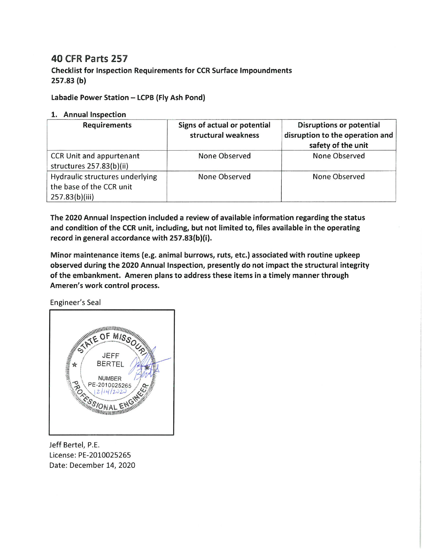## **40 CFR Parts 257**

**Checklist for Inspection Requirements for CCR Surface Impoundments**  $257.83(b)$ 

Labadie Power Station - LCPB (Fly Ash Pond)

## 1. Annual Inspection

| <b>Requirements</b>                                                           | Signs of actual or potential<br>structural weakness | <b>Disruptions or potential</b><br>disruption to the operation and<br>safety of the unit |
|-------------------------------------------------------------------------------|-----------------------------------------------------|------------------------------------------------------------------------------------------|
| CCR Unit and appurtenant<br>structures 257.83(b)(ii)                          | None Observed                                       | None Observed                                                                            |
| Hydraulic structures underlying<br>the base of the CCR unit<br>257.83(b)(iii) | None Observed                                       | None Observed                                                                            |

The 2020 Annual Inspection included a review of available information regarding the status and condition of the CCR unit, including, but not limited to, files available in the operating record in general accordance with 257.83(b)(i).

Minor maintenance items (e.g. animal burrows, ruts, etc.) associated with routine upkeep observed during the 2020 Annual Inspection, presently do not impact the structural integrity of the embankment. Ameren plans to address these items in a timely manner through Ameren's work control process.

Engineer's Seal



Jeff Bertel, P.E. License: PE-2010025265 Date: December 14, 2020